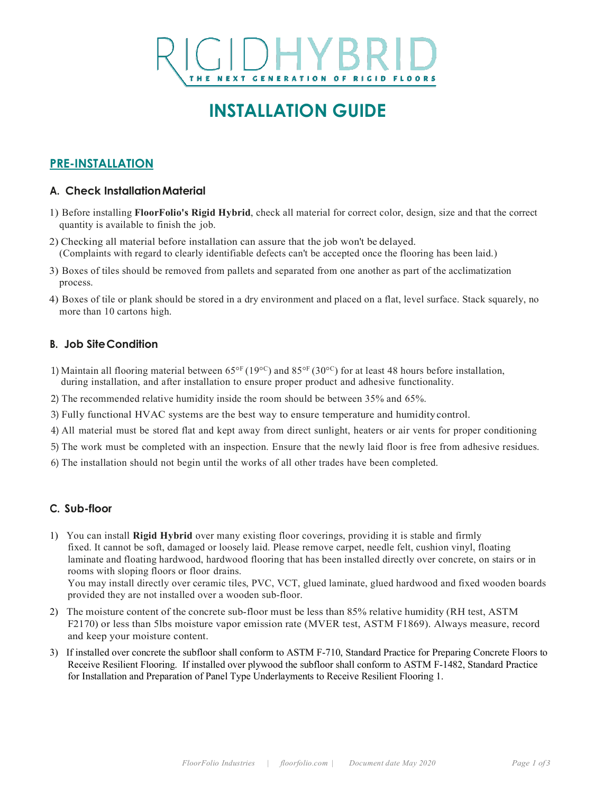# THE NEXT GENERATION OF RIGID FLOORS

### **INSTALLATION GUIDE**

#### **PRE-INSTALLATION**

#### **A. Check InstallationMaterial**

- 1) Before installing **FloorFolio's Rigid Hybrid**, check all material for correct color, design, size and that the correct quantity is available to finish the job.
- 2) Checking all material before installation can assure that the job won't be delayed. (Complaints with regard to clearly identifiable defects can't be accepted once the flooring has been laid.)
- 3) Boxes of tiles should be removed from pallets and separated from one another as part of the acclimatization process.
- 4) Boxes of tile or plank should be stored in a dry environment and placed on a flat, level surface. Stack squarely, no more than 10 cartons high.

#### **B. Job SiteCondition**

- 1) Maintain all flooring material between  $65^{\circ}$ F (19 $^{\circ}$ C) and  $85^{\circ}$ F (30 $^{\circ}$ C) for at least 48 hours before installation, during installation, and after installation to ensure proper product and adhesive functionality.
- 2) The recommended relative humidity inside the room should be between 35% and 65%.
- 3) Fully functional HVAC systems are the best way to ensure temperature and humiditycontrol.
- 4) All material must be stored flat and kept away from direct sunlight, heaters or air vents for proper conditioning
- 5) The work must be completed with an inspection. Ensure that the newly laid floor is free from adhesive residues.
- 6) The installation should not begin until the works of all other trades have been completed.

#### **C. Sub-floor**

1) You can install **Rigid Hybrid** over many existing floor coverings, providing it is stable and firmly fixed. It cannot be soft, damaged or loosely laid. Please remove carpet, needle felt, cushion vinyl, floating laminate and floating hardwood, hardwood flooring that has been installed directly over concrete, on stairs or in rooms with sloping floors or floor drains.

You may install directly over ceramic tiles, PVC, VCT, glued laminate, glued hardwood and fixed wooden boards provided they are not installed over a wooden sub-floor.

- 2) The moisture content of the concrete sub-floor must be less than 85% relative humidity (RH test, ASTM F2170) or less than 5lbs moisture vapor emission rate (MVER test, ASTM F1869). Always measure, record and keep your moisture content.
- 3) If installed over concrete the subfloor shall conform to ASTM F-710, Standard Practice for Preparing Concrete Floors to Receive Resilient Flooring. If installed over plywood the subfloor shall conform to ASTM F-1482, Standard Practice for Installation and Preparation of Panel Type Underlayments to Receive Resilient Flooring 1.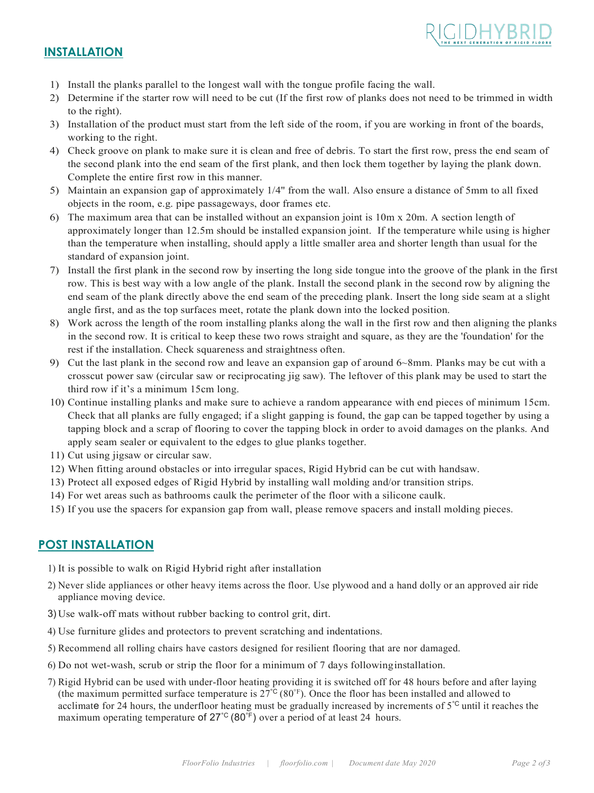

#### **INSTALLATION**

- 1) Install the planks parallel to the longest wall with the tongue profile facing the wall.
- 2) Determine if the starter row will need to be cut (If the first row of planks does not need to be trimmed in width to the right).
- 3) Installation of the product must start from the left side of the room, if you are working in front of the boards, working to the right.
- 4) Check groove on plank to make sure it is clean and free of debris. To start the first row, press the end seam of the second plank into the end seam of the first plank, and then lock them together by laying the plank down. Complete the entire first row in this manner.
- 5) Maintain an expansion gap of approximately 1/4" from the wall. Also ensure a distance of 5mm to all fixed objects in the room, e.g. pipe passageways, door frames etc.
- 6) The maximum area that can be installed without an expansion joint is 10m x 20m. A section length of approximately longer than 12.5m should be installed expansion joint. If the temperature while using is higher than the temperature when installing, should apply a little smaller area and shorter length than usual for the standard of expansion joint.
- 7) Install the first plank in the second row by inserting the long side tongue into the groove of the plank in the first row. This is best way with a low angle of the plank. Install the second plank in the second row by aligning the end seam of the plank directly above the end seam of the preceding plank. Insert the long side seam at a slight angle first, and as the top surfaces meet, rotate the plank down into the locked position.
- 8) Work across the length of the room installing planks along the wall in the first row and then aligning the planks in the second row. It is critical to keep these two rows straight and square, as they are the 'foundation' for the rest if the installation. Check squareness and straightness often.
- 9) Cut the last plank in the second row and leave an expansion gap of around 6~8mm. Planks may be cut with a crosscut power saw (circular saw or reciprocating jig saw). The leftover of this plank may be used to start the third row if it's a minimum 15cm long.
- 10) Continue installing planks and make sure to achieve a random appearance with end pieces of minimum 15cm. Check that all planks are fully engaged; if a slight gapping is found, the gap can be tapped together by using a tapping block and a scrap of flooring to cover the tapping block in order to avoid damages on the planks. And apply seam sealer or equivalent to the edges to glue planks together.
- 11) Cut using jigsaw or circular saw.
- 12) When fitting around obstacles or into irregular spaces, Rigid Hybrid can be cut with handsaw.
- 13) Protect all exposed edges of Rigid Hybrid by installing wall molding and/or transition strips.
- 14) For wet areas such as bathrooms caulk the perimeter of the floor with a silicone caulk.
- 15) If you use the spacers for expansion gap from wall, please remove spacers and install molding pieces.

#### **POST INSTALLATION**

- 1) It is possible to walk on Rigid Hybrid right after installation
- 2) Never slide appliances or other heavy items across the floor. Use plywood and a hand dolly or an approved air ride appliance moving device.
- 3) Use walk-off mats without rubber backing to control grit, dirt.
- 4) Use furniture glides and protectors to prevent scratching and indentations.
- 5) Recommend all rolling chairs have castors designed for resilient flooring that are nor damaged.
- 6) Do not wet-wash, scrub or strip the floor for a minimum of 7 days followinginstallation.
- 7) Rigid Hybrid can be used with under-floor heating providing it is switched off for 48 hours before and after laying (the maximum permitted surface temperature is  $27^{\circ}$  (80°F). Once the floor has been installed and allowed to acclimate for 24 hours, the underfloor heating must be gradually increased by increments of  $5^{\circ}$  until it reaches the maximum operating temperature of 27°C (80°F) over a period of at least 24 hours.